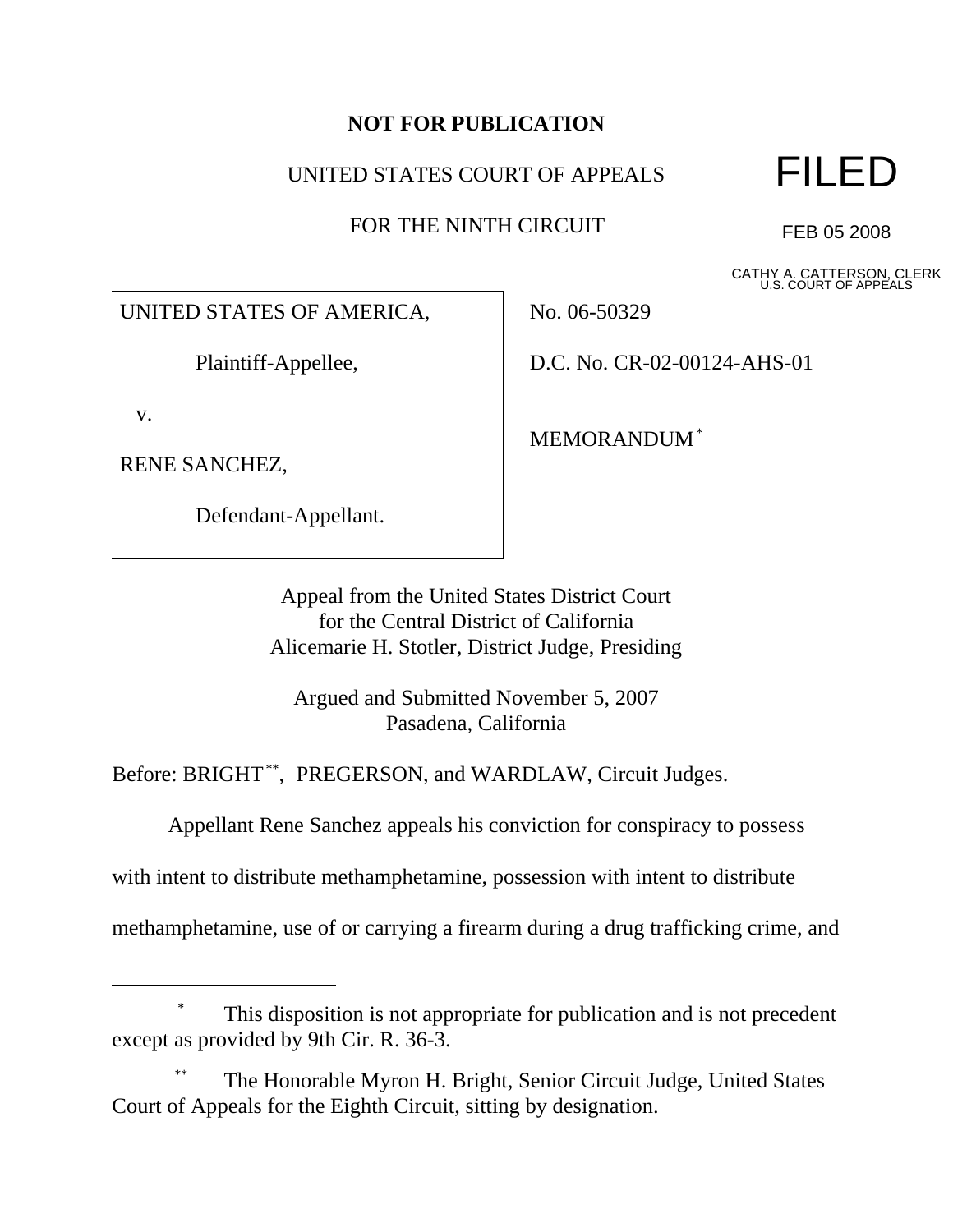## **NOT FOR PUBLICATION**

### UNITED STATES COURT OF APPEALS

FOR THE NINTH CIRCUIT



FEB 05 2008

CATHY A. CATTERSON, CLERK U.S. COURT OF APPEALS

UNITED STATES OF AMERICA,

Plaintiff-Appellee,

v.

RENE SANCHEZ,

Defendant-Appellant.

No. 06-50329

D.C. No. CR-02-00124-AHS-01

MEMORANDUM\*

Appeal from the United States District Court for the Central District of California Alicemarie H. Stotler, District Judge, Presiding

Argued and Submitted November 5, 2007 Pasadena, California

Before: BRIGHT<sup>\*\*</sup>, PREGERSON, and WARDLAW, Circuit Judges.

Appellant Rene Sanchez appeals his conviction for conspiracy to possess

with intent to distribute methamphetamine, possession with intent to distribute

methamphetamine, use of or carrying a firearm during a drug trafficking crime, and

# This disposition is not appropriate for publication and is not precedent except as provided by 9th Cir. R. 36-3.

The Honorable Myron H. Bright, Senior Circuit Judge, United States Court of Appeals for the Eighth Circuit, sitting by designation.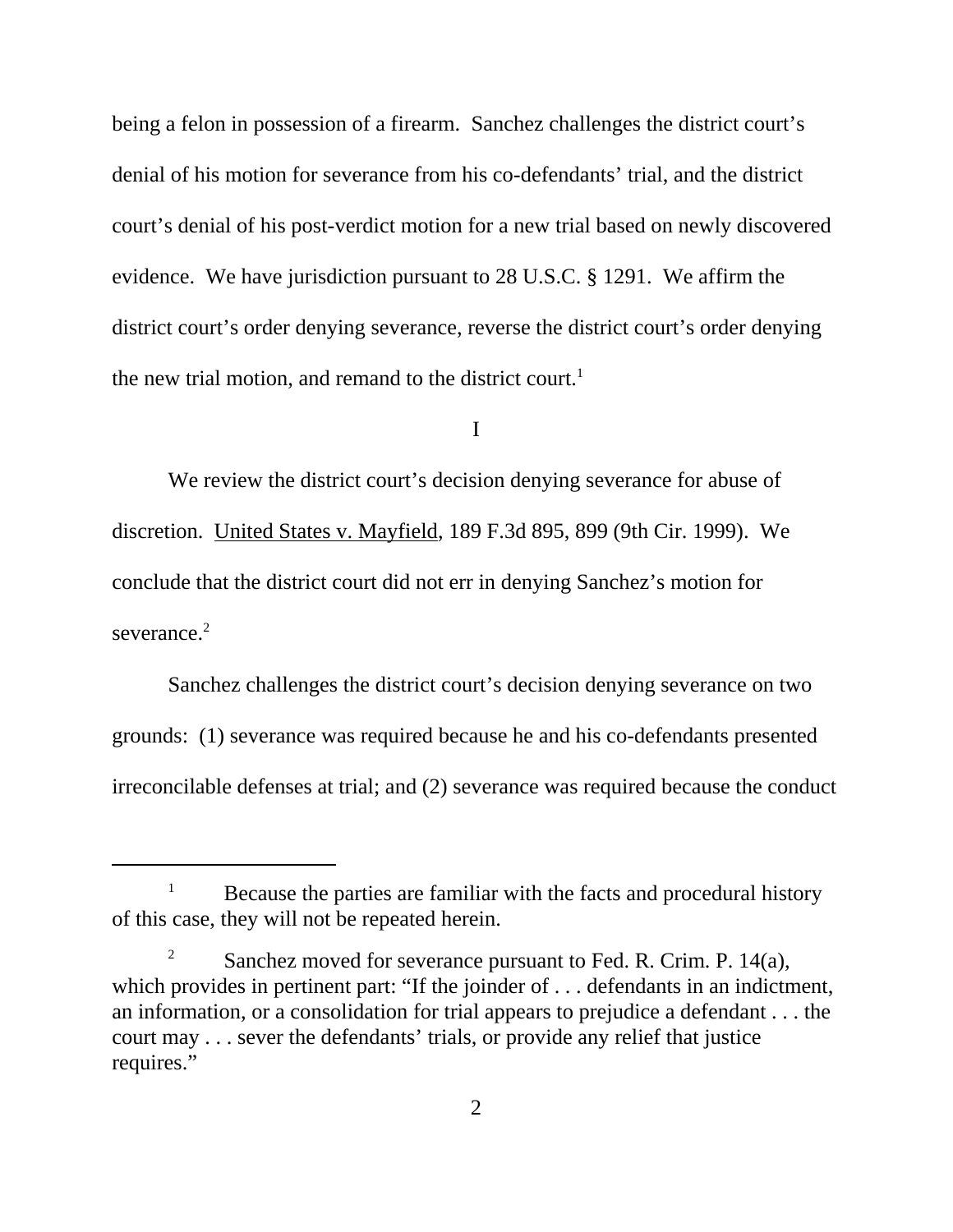being a felon in possession of a firearm. Sanchez challenges the district court's denial of his motion for severance from his co-defendants' trial, and the district court's denial of his post-verdict motion for a new trial based on newly discovered evidence. We have jurisdiction pursuant to 28 U.S.C. § 1291. We affirm the district court's order denying severance, reverse the district court's order denying the new trial motion, and remand to the district court.<sup>1</sup>

I

We review the district court's decision denying severance for abuse of discretion. United States v. Mayfield, 189 F.3d 895, 899 (9th Cir. 1999). We conclude that the district court did not err in denying Sanchez's motion for severance.<sup>2</sup>

Sanchez challenges the district court's decision denying severance on two grounds: (1) severance was required because he and his co-defendants presented irreconcilable defenses at trial; and (2) severance was required because the conduct

 $1$  Because the parties are familiar with the facts and procedural history of this case, they will not be repeated herein.

<sup>&</sup>lt;sup>2</sup> Sanchez moved for severance pursuant to Fed. R. Crim. P. 14(a), which provides in pertinent part: "If the joinder of ... defendants in an indictment, an information, or a consolidation for trial appears to prejudice a defendant . . . the court may . . . sever the defendants' trials, or provide any relief that justice requires."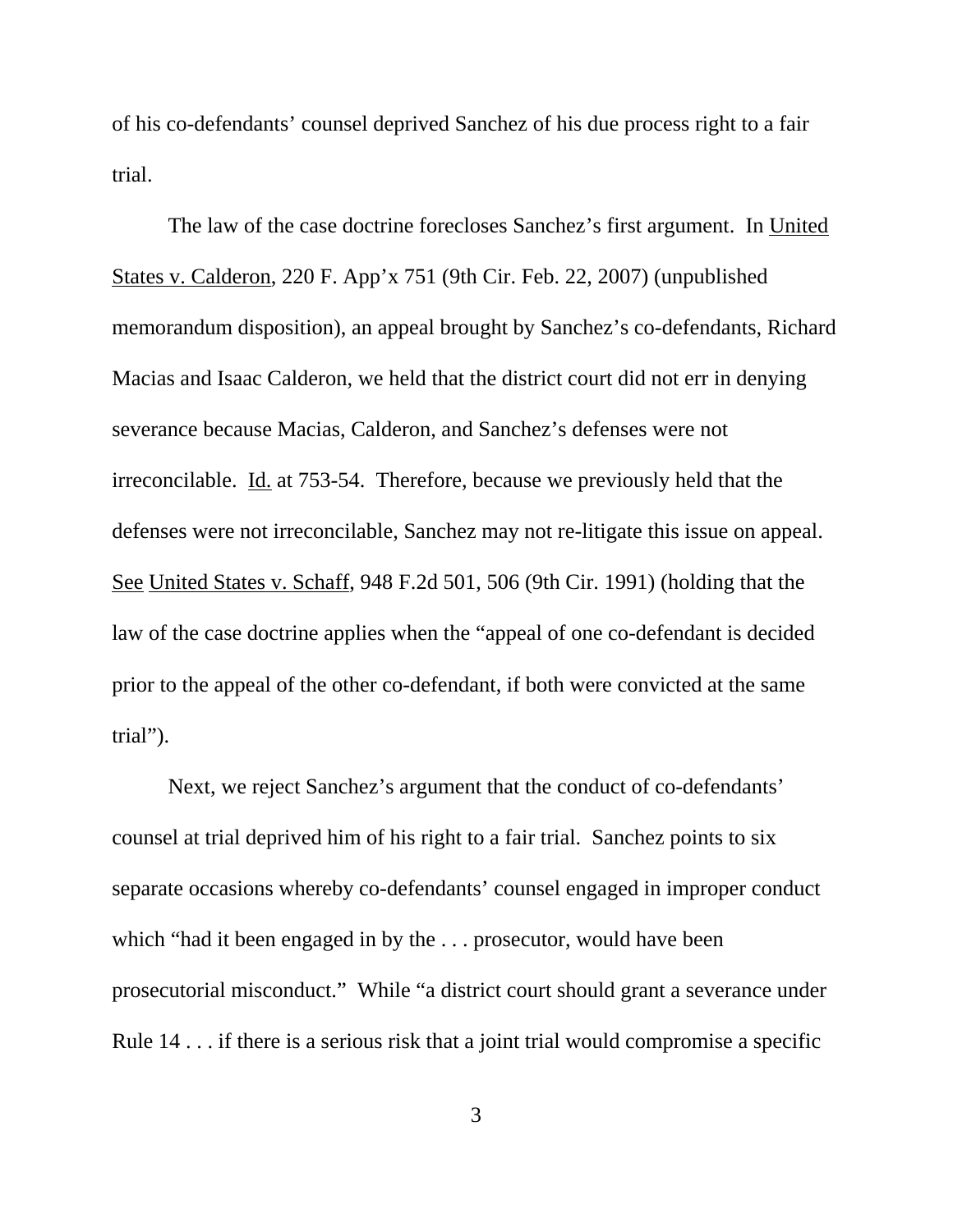of his co-defendants' counsel deprived Sanchez of his due process right to a fair trial.

The law of the case doctrine forecloses Sanchez's first argument. In United States v. Calderon, 220 F. App'x 751 (9th Cir. Feb. 22, 2007) (unpublished memorandum disposition), an appeal brought by Sanchez's co-defendants, Richard Macias and Isaac Calderon, we held that the district court did not err in denying severance because Macias, Calderon, and Sanchez's defenses were not irreconcilable. Id. at 753-54. Therefore, because we previously held that the defenses were not irreconcilable, Sanchez may not re-litigate this issue on appeal. See United States v. Schaff, 948 F.2d 501, 506 (9th Cir. 1991) (holding that the law of the case doctrine applies when the "appeal of one co-defendant is decided prior to the appeal of the other co-defendant, if both were convicted at the same trial").

Next, we reject Sanchez's argument that the conduct of co-defendants' counsel at trial deprived him of his right to a fair trial. Sanchez points to six separate occasions whereby co-defendants' counsel engaged in improper conduct which "had it been engaged in by the . . . prosecutor, would have been prosecutorial misconduct." While "a district court should grant a severance under Rule 14 . . . if there is a serious risk that a joint trial would compromise a specific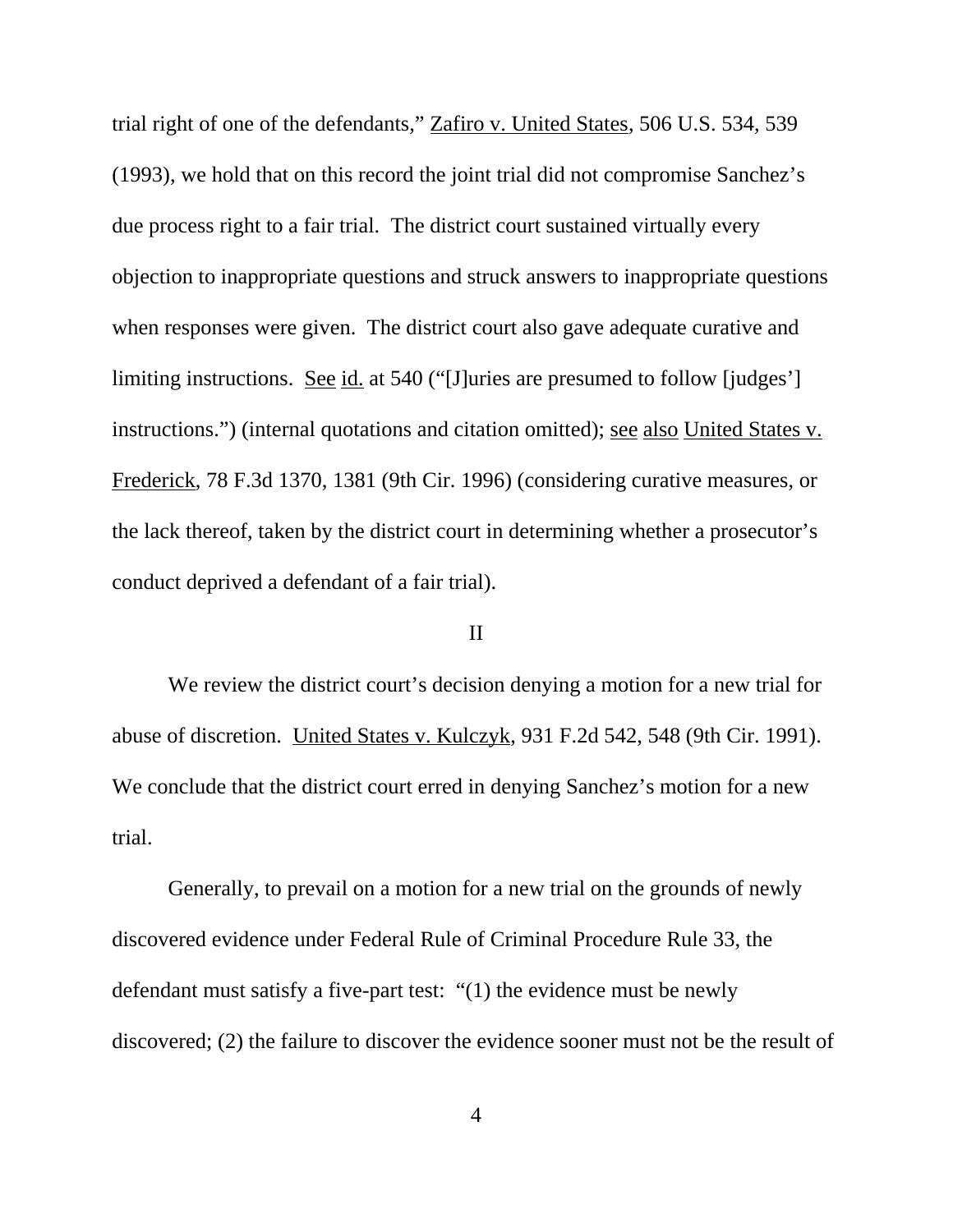trial right of one of the defendants," Zafiro v. United States, 506 U.S. 534, 539 (1993), we hold that on this record the joint trial did not compromise Sanchez's due process right to a fair trial. The district court sustained virtually every objection to inappropriate questions and struck answers to inappropriate questions when responses were given. The district court also gave adequate curative and limiting instructions. See id. at 540 ("[J]uries are presumed to follow [judges'] instructions.") (internal quotations and citation omitted); see also United States v. Frederick, 78 F.3d 1370, 1381 (9th Cir. 1996) (considering curative measures, or the lack thereof, taken by the district court in determining whether a prosecutor's conduct deprived a defendant of a fair trial).

#### II

We review the district court's decision denying a motion for a new trial for abuse of discretion. United States v. Kulczyk, 931 F.2d 542, 548 (9th Cir. 1991). We conclude that the district court erred in denying Sanchez's motion for a new trial.

Generally, to prevail on a motion for a new trial on the grounds of newly discovered evidence under Federal Rule of Criminal Procedure Rule 33, the defendant must satisfy a five-part test: "(1) the evidence must be newly discovered; (2) the failure to discover the evidence sooner must not be the result of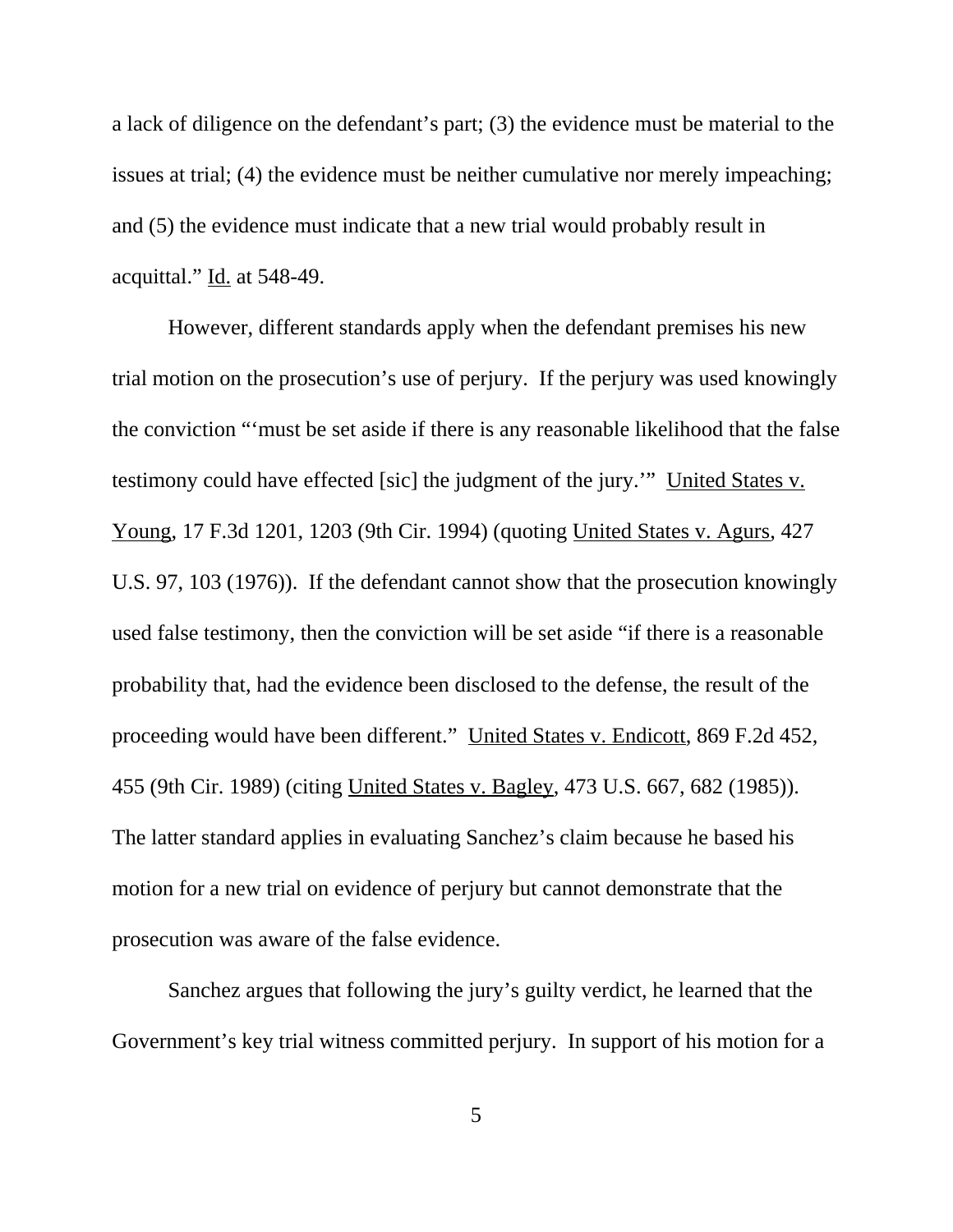a lack of diligence on the defendant's part; (3) the evidence must be material to the issues at trial; (4) the evidence must be neither cumulative nor merely impeaching; and (5) the evidence must indicate that a new trial would probably result in acquittal." Id. at 548-49.

However, different standards apply when the defendant premises his new trial motion on the prosecution's use of perjury. If the perjury was used knowingly the conviction "'must be set aside if there is any reasonable likelihood that the false testimony could have effected [sic] the judgment of the jury.'" United States v. Young, 17 F.3d 1201, 1203 (9th Cir. 1994) (quoting United States v. Agurs, 427 U.S. 97, 103 (1976)). If the defendant cannot show that the prosecution knowingly used false testimony, then the conviction will be set aside "if there is a reasonable probability that, had the evidence been disclosed to the defense, the result of the proceeding would have been different." United States v. Endicott, 869 F.2d 452, 455 (9th Cir. 1989) (citing United States v. Bagley, 473 U.S. 667, 682 (1985)). The latter standard applies in evaluating Sanchez's claim because he based his motion for a new trial on evidence of perjury but cannot demonstrate that the prosecution was aware of the false evidence.

Sanchez argues that following the jury's guilty verdict, he learned that the Government's key trial witness committed perjury. In support of his motion for a